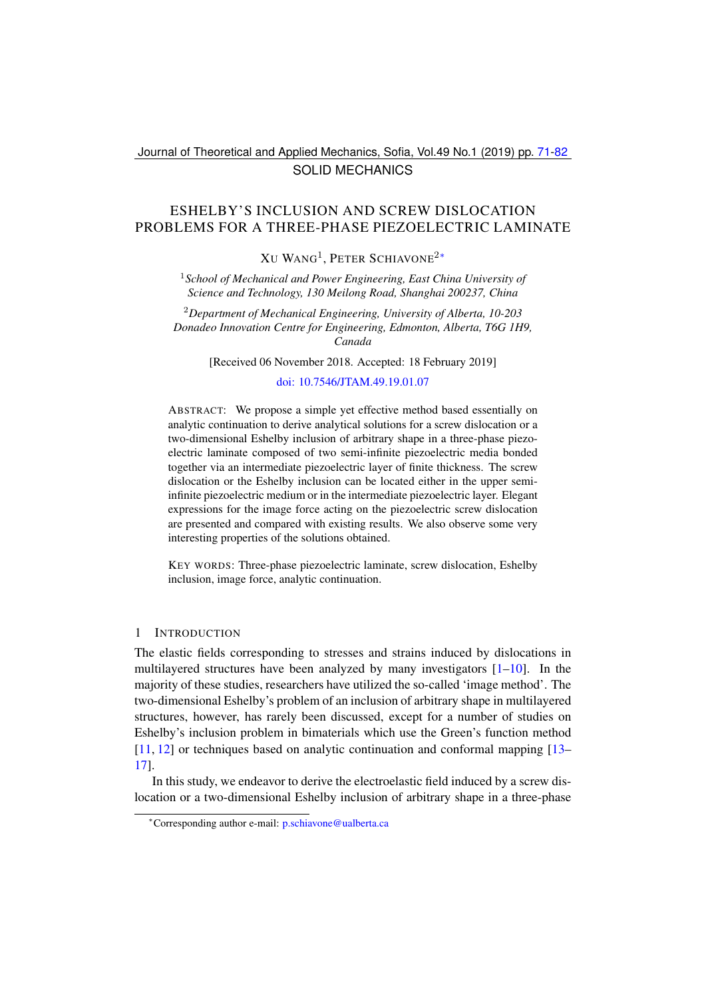# Journal of Theoretical and Applied Mechanics, Sofia, Vol.49 No.1 (2019) pp. [71](#page-0-0)[-82](#page-11-0) SOLID MECHANICS

# <span id="page-0-0"></span>ESHELBY'S INCLUSION AND SCREW DISLOCATION PROBLEMS FOR A THREE-PHASE PIEZOELECTRIC LAMINATE

 $X$ u Wang<sup>1</sup>, Peter Schiavone<sup>2</sup>\*

<sup>1</sup>*School of Mechanical and Power Engineering, East China University of Science and Technology, 130 Meilong Road, Shanghai 200237, China*

<sup>2</sup>*Department of Mechanical Engineering, University of Alberta, 10-203 Donadeo Innovation Centre for Engineering, Edmonton, Alberta, T6G 1H9, Canada*

[Received 06 November 2018. Accepted: 18 February 2019]

#### [doi: 10.7546/JTAM.49.19.01.07](https://doi.org/10.7546/JTAM.49.19.01.07)

ABSTRACT: We propose a simple yet effective method based essentially on analytic continuation to derive analytical solutions for a screw dislocation or a two-dimensional Eshelby inclusion of arbitrary shape in a three-phase piezoelectric laminate composed of two semi-infinite piezoelectric media bonded together via an intermediate piezoelectric layer of finite thickness. The screw dislocation or the Eshelby inclusion can be located either in the upper semiinfinite piezoelectric medium or in the intermediate piezoelectric layer. Elegant expressions for the image force acting on the piezoelectric screw dislocation are presented and compared with existing results. We also observe some very interesting properties of the solutions obtained.

KEY WORDS: Three-phase piezoelectric laminate, screw dislocation, Eshelby inclusion, image force, analytic continuation.

### 1 INTRODUCTION

The elastic fields corresponding to stresses and strains induced by dislocations in multilayered structures have been analyzed by many investigators [\[1–](#page-10-0)[10\]](#page-10-1). In the majority of these studies, researchers have utilized the so-called 'image method'. The two-dimensional Eshelby's problem of an inclusion of arbitrary shape in multilayered structures, however, has rarely been discussed, except for a number of studies on Eshelby's inclusion problem in bimaterials which use the Green's function method [\[11,](#page-10-2) [12\]](#page-10-3) or techniques based on analytic continuation and conformal mapping [\[13–](#page-11-1) [17\]](#page-11-2).

In this study, we endeavor to derive the electroelastic field induced by a screw dislocation or a two-dimensional Eshelby inclusion of arbitrary shape in a three-phase

<span id="page-0-1"></span><sup>∗</sup>Corresponding author e-mail: [p.schiavone@ualberta.ca](mailto:p.schiavone@ualberta.ca)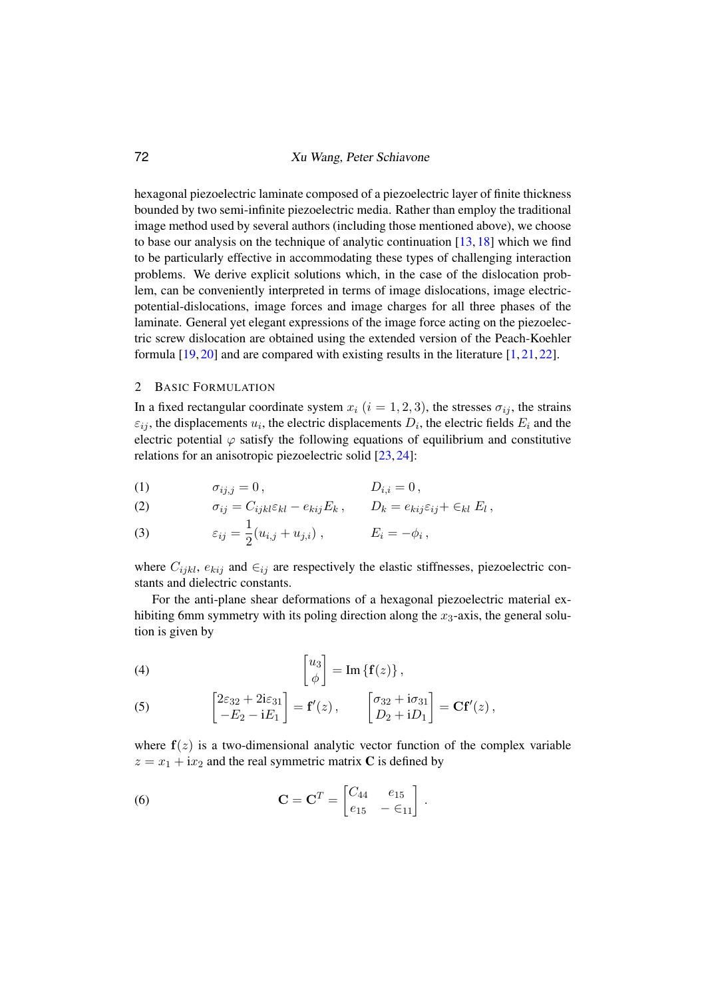hexagonal piezoelectric laminate composed of a piezoelectric layer of finite thickness bounded by two semi-infinite piezoelectric media. Rather than employ the traditional image method used by several authors (including those mentioned above), we choose to base our analysis on the technique of analytic continuation [\[13,](#page-11-1) [18\]](#page-11-3) which we find to be particularly effective in accommodating these types of challenging interaction problems. We derive explicit solutions which, in the case of the dislocation problem, can be conveniently interpreted in terms of image dislocations, image electricpotential-dislocations, image forces and image charges for all three phases of the laminate. General yet elegant expressions of the image force acting on the piezoelectric screw dislocation are obtained using the extended version of the Peach-Koehler formula [\[19,](#page-11-4) [20\]](#page-11-5) and are compared with existing results in the literature [\[1,](#page-10-0) [21,](#page-11-6) [22\]](#page-11-7).

## 2 BASIC FORMULATION

In a fixed rectangular coordinate system  $x_i$   $(i = 1, 2, 3)$ , the stresses  $\sigma_{ij}$ , the strains  $\varepsilon_{ij}$ , the displacements  $u_i$ , the electric displacements  $D_i$ , the electric fields  $E_i$  and the electric potential  $\varphi$  satisfy the following equations of equilibrium and constitutive relations for an anisotropic piezoelectric solid [\[23,](#page-11-8) [24\]](#page-11-9):

$$
(1) \t\t \sigma_{ij,j}=0, \t\t D_{i,i}=0,
$$

(2) 
$$
\sigma_{ij} = C_{ijkl} \varepsilon_{kl} - e_{kij} E_k, \qquad D_k = e_{kij} \varepsilon_{ij} + \varepsilon_{kl} E_l,
$$

(3) 
$$
\varepsilon_{ij} = \frac{1}{2}(u_{i,j} + u_{j,i}), \qquad E_i = -\phi_i,
$$

where  $C_{ijkl}$ ,  $e_{kij}$  and  $\in_{ij}$  are respectively the elastic stiffnesses, piezoelectric constants and dielectric constants.

For the anti-plane shear deformations of a hexagonal piezoelectric material exhibiting 6mm symmetry with its poling direction along the  $x_3$ -axis, the general solution is given by

(4) 
$$
\begin{bmatrix} u_3 \\ \phi \end{bmatrix} = \text{Im} \left\{ \mathbf{f}(z) \right\},
$$

(5) 
$$
\begin{bmatrix} 2\varepsilon_{32} + 2i\varepsilon_{31} \ -E_2 - iE_1 \end{bmatrix} = \mathbf{f}'(z), \qquad \begin{bmatrix} \sigma_{32} + i\sigma_{31} \ D_2 + iD_1 \end{bmatrix} = \mathbf{C}\mathbf{f}'(z),
$$

where  $f(z)$  is a two-dimensional analytic vector function of the complex variable  $z = x_1 + ix_2$  and the real symmetric matrix C is defined by

(6) 
$$
\mathbf{C} = \mathbf{C}^T = \begin{bmatrix} C_{44} & e_{15} \\ e_{15} & -\epsilon_{11} \end{bmatrix}.
$$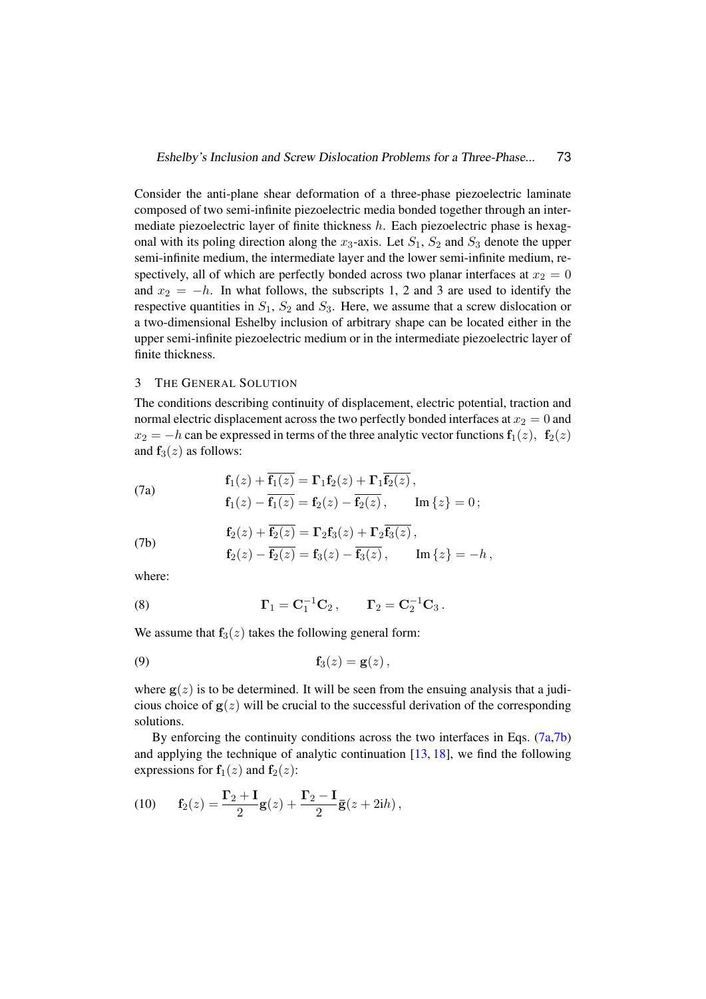Consider the anti-plane shear deformation of a three-phase piezoelectric laminate composed of two semi-infinite piezoelectric media bonded together through an intermediate piezoelectric layer of finite thickness  $h$ . Each piezoelectric phase is hexagonal with its poling direction along the  $x_3$ -axis. Let  $S_1$ ,  $S_2$  and  $S_3$  denote the upper semi-infinite medium, the intermediate layer and the lower semi-infinite medium, respectively, all of which are perfectly bonded across two planar interfaces at  $x_2 = 0$ and  $x_2 = -h$ . In what follows, the subscripts 1, 2 and 3 are used to identify the respective quantities in  $S_1$ ,  $S_2$  and  $S_3$ . Here, we assume that a screw dislocation or a two-dimensional Eshelby inclusion of arbitrary shape can be located either in the upper semi-infinite piezoelectric medium or in the intermediate piezoelectric layer of finite thickness.

## 3 THE GENERAL SOLUTION

The conditions describing continuity of displacement, electric potential, traction and normal electric displacement across the two perfectly bonded interfaces at  $x_2 = 0$  and  $x_2 = -h$  can be expressed in terms of the three analytic vector functions  $f_1(z)$ ,  $f_2(z)$ and  $f_3(z)$  as follows:

<span id="page-2-0"></span>(7a) 
$$
\mathbf{f}_1(z) + \overline{\mathbf{f}_1(z)} = \mathbf{\Gamma}_1 \mathbf{f}_2(z) + \mathbf{\Gamma}_1 \overline{\mathbf{f}_2(z)},
$$

$$
\mathbf{f}_1(z) - \overline{\mathbf{f}_1(z)} = \mathbf{f}_2(z) - \overline{\mathbf{f}_2(z)}, \qquad \text{Im}\{z\} = 0;
$$

<span id="page-2-1"></span>(7b)  
\n
$$
\mathbf{f}_2(z) + \mathbf{f}_2(z) = \mathbf{\Gamma}_2 \mathbf{f}_3(z) + \mathbf{\Gamma}_2 \mathbf{f}_3(z),
$$
\n
$$
\mathbf{f}_2(z) - \overline{\mathbf{f}_2(z)} = \mathbf{f}_3(z) - \overline{\mathbf{f}_3(z)}, \qquad \text{Im}\{z\} = -h,
$$

where:

(8) 
$$
\Gamma_1 = C_1^{-1}C_2, \qquad \Gamma_2 = C_2^{-1}C_3.
$$

We assume that  $f_3(z)$  takes the following general form:

<span id="page-2-2"></span>
$$
\mathbf{f}_3(z) = \mathbf{g}(z),
$$

where  $g(z)$  is to be determined. It will be seen from the ensuing analysis that a judicious choice of  $g(z)$  will be crucial to the successful derivation of the corresponding solutions.

By enforcing the continuity conditions across the two interfaces in Eqs. [\(7a,](#page-2-0)[7b\)](#page-2-1) and applying the technique of analytic continuation  $[13, 18]$  $[13, 18]$  $[13, 18]$ , we find the following expressions for  $f_1(z)$  and  $f_2(z)$ :

<span id="page-2-3"></span>(10) 
$$
\mathbf{f}_2(z) = \frac{\mathbf{\Gamma}_2 + \mathbf{I}}{2}\mathbf{g}(z) + \frac{\mathbf{\Gamma}_2 - \mathbf{I}}{2}\mathbf{\bar{g}}(z + 2\mathbf{i}h),
$$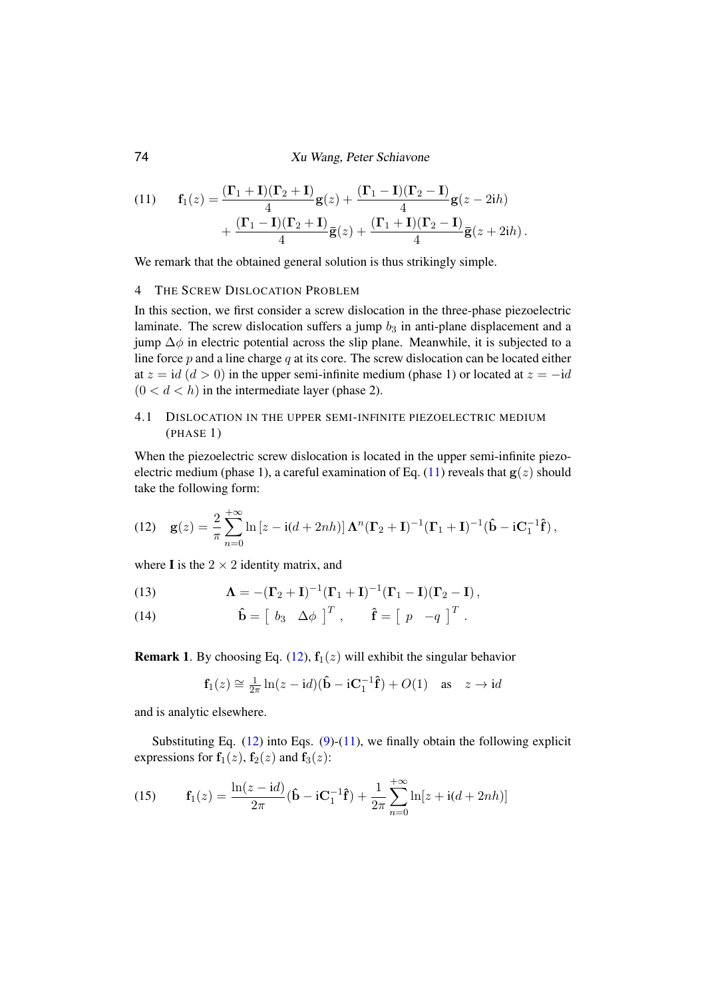<span id="page-3-0"></span>(11) 
$$
\mathbf{f}_1(z) = \frac{(\mathbf{\Gamma}_1 + \mathbf{I})(\mathbf{\Gamma}_2 + \mathbf{I})}{4}\mathbf{g}(z) + \frac{(\mathbf{\Gamma}_1 - \mathbf{I})(\mathbf{\Gamma}_2 - \mathbf{I})}{4}\mathbf{g}(z - 2ih) + \frac{(\mathbf{\Gamma}_1 - \mathbf{I})(\mathbf{\Gamma}_2 + \mathbf{I})}{4}\mathbf{\overline{g}}(z) + \frac{(\mathbf{\Gamma}_1 + \mathbf{I})(\mathbf{\Gamma}_2 - \mathbf{I})}{4}\mathbf{\overline{g}}(z + 2ih).
$$

We remark that the obtained general solution is thus strikingly simple.

#### 4 THE SCREW DISLOCATION PROBLEM

In this section, we first consider a screw dislocation in the three-phase piezoelectric laminate. The screw dislocation suffers a jump  $b_3$  in anti-plane displacement and a jump  $\Delta\phi$  in electric potential across the slip plane. Meanwhile, it is subjected to a line force  $p$  and a line charge  $q$  at its core. The screw dislocation can be located either at  $z = id$  ( $d > 0$ ) in the upper semi-infinite medium (phase 1) or located at  $z = -id$  $(0 < d < h)$  in the intermediate layer (phase 2).

## 4.1 DISLOCATION IN THE UPPER SEMI-INFINITE PIEZOELECTRIC MEDIUM (PHASE 1)

When the piezoelectric screw dislocation is located in the upper semi-infinite piezo-electric medium (phase 1), a careful examination of Eq. [\(11\)](#page-3-0) reveals that  $g(z)$  should take the following form:

<span id="page-3-1"></span>(12) 
$$
\mathbf{g}(z) = \frac{2}{\pi} \sum_{n=0}^{+\infty} \ln \left[z - i(d + 2nh)\right] \mathbf{\Lambda}^n (\mathbf{\Gamma}_2 + \mathbf{I})^{-1} (\mathbf{\Gamma}_1 + \mathbf{I})^{-1} (\hat{\mathbf{b}} - i\mathbf{C}_1^{-1} \hat{\mathbf{f}}),
$$

where **I** is the  $2 \times 2$  identity matrix, and

(13) 
$$
\Lambda = -(\Gamma_2 + I)^{-1}(\Gamma_1 + I)^{-1}(\Gamma_1 - I)(\Gamma_2 - I),
$$

(14) 
$$
\hat{\mathbf{b}} = \begin{bmatrix} b_3 & \Delta \phi \end{bmatrix}^T, \quad \hat{\mathbf{f}} = \begin{bmatrix} p & -q \end{bmatrix}^T.
$$

**Remark 1.** By choosing Eq. [\(12\)](#page-3-1),  $f_1(z)$  will exhibit the singular behavior

$$
\mathbf{f}_1(z) \cong \frac{1}{2\pi} \ln(z - \mathrm{i}d)(\mathbf{\hat{b}} - \mathrm{i}\mathbf{C}_1^{-1}\mathbf{\hat{f}}) + O(1) \quad \text{as} \quad z \to \mathrm{i}d
$$

and is analytic elsewhere.

Substituting Eq.  $(12)$  into Eqs.  $(9)-(11)$  $(9)-(11)$  $(9)-(11)$ , we finally obtain the following explicit expressions for  $f_1(z)$ ,  $f_2(z)$  and  $f_3(z)$ :

(15) 
$$
\mathbf{f}_1(z) = \frac{\ln(z - \mathrm{i}d)}{2\pi} (\hat{\mathbf{b}} - \mathrm{i}\mathbf{C}_1^{-1}\hat{\mathbf{f}}) + \frac{1}{2\pi} \sum_{n=0}^{+\infty} \ln[z + \mathrm{i}(d + 2nh)]
$$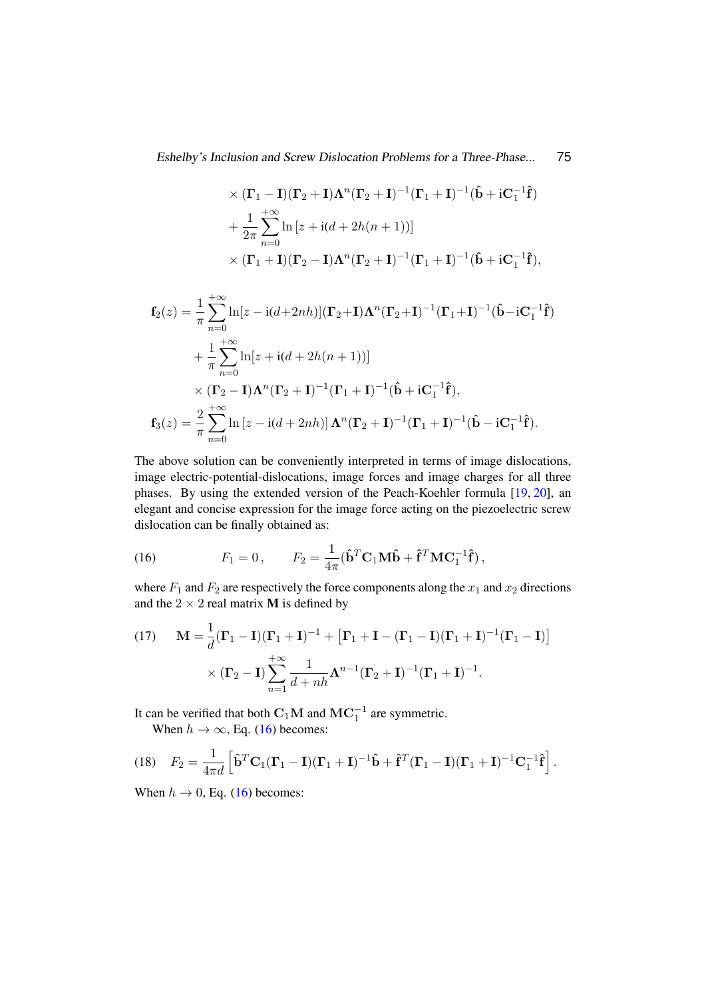$$
\times (\mathbf{\Gamma}_1 - \mathbf{I})(\mathbf{\Gamma}_2 + \mathbf{I})\mathbf{\Lambda}^n(\mathbf{\Gamma}_2 + \mathbf{I})^{-1}(\mathbf{\Gamma}_1 + \mathbf{I})^{-1}(\hat{\mathbf{b}} + i\mathbf{C}_1^{-1}\hat{\mathbf{f}})
$$
  
+ 
$$
\frac{1}{2\pi} \sum_{n=0}^{+\infty} \ln [z + i(d + 2h(n + 1))]
$$
  

$$
\times (\mathbf{\Gamma}_1 + \mathbf{I})(\mathbf{\Gamma}_2 - \mathbf{I})\mathbf{\Lambda}^n(\mathbf{\Gamma}_2 + \mathbf{I})^{-1}(\mathbf{\Gamma}_1 + \mathbf{I})^{-1}(\hat{\mathbf{b}} + i\mathbf{C}_1^{-1}\hat{\mathbf{f}}),
$$

$$
\mathbf{f}_2(z) = \frac{1}{\pi} \sum_{n=0}^{+\infty} \ln[z - i(d+2nh)] (\mathbf{\Gamma}_2 + \mathbf{I}) \mathbf{\Lambda}^n (\mathbf{\Gamma}_2 + \mathbf{I})^{-1} (\mathbf{\Gamma}_1 + \mathbf{I})^{-1} (\hat{\mathbf{b}} - i\mathbf{C}_1^{-1} \hat{\mathbf{f}})
$$
  
+ 
$$
\frac{1}{\pi} \sum_{n=0}^{+\infty} \ln[z + i(d+2h(n+1))]
$$
  

$$
\times (\mathbf{\Gamma}_2 - \mathbf{I}) \mathbf{\Lambda}^n (\mathbf{\Gamma}_2 + \mathbf{I})^{-1} (\mathbf{\Gamma}_1 + \mathbf{I})^{-1} (\hat{\mathbf{b}} + i\mathbf{C}_1^{-1} \hat{\mathbf{f}}),
$$
  

$$
\mathbf{f}_3(z) = \frac{2}{\pi} \sum_{n=0}^{+\infty} \ln[z - i(d+2nh)] \mathbf{\Lambda}^n (\mathbf{\Gamma}_2 + \mathbf{I})^{-1} (\mathbf{\Gamma}_1 + \mathbf{I})^{-1} (\hat{\mathbf{b}} - i\mathbf{C}_1^{-1} \hat{\mathbf{f}}).
$$

The above solution can be conveniently interpreted in terms of image dislocations, image electric-potential-dislocations, image forces and image charges for all three phases. By using the extended version of the Peach-Koehler formula [\[19,](#page-11-4) [20\]](#page-11-5), an elegant and concise expression for the image force acting on the piezoelectric screw dislocation can be finally obtained as:

(16) 
$$
F_1 = 0, \qquad F_2 = \frac{1}{4\pi} (\hat{\mathbf{b}}^T \mathbf{C}_1 \mathbf{M} \hat{\mathbf{b}} + \hat{\mathbf{f}}^T \mathbf{M} \mathbf{C}_1^{-1} \hat{\mathbf{f}}),
$$

where  $F_1$  and  $F_2$  are respectively the force components along the  $x_1$  and  $x_2$  directions and the  $2 \times 2$  real matrix **M** is defined by

(17) 
$$
\mathbf{M} = \frac{1}{d}(\mathbf{\Gamma}_1 - \mathbf{I})(\mathbf{\Gamma}_1 + \mathbf{I})^{-1} + [\mathbf{\Gamma}_1 + \mathbf{I} - (\mathbf{\Gamma}_1 - \mathbf{I})(\mathbf{\Gamma}_1 + \mathbf{I})^{-1}(\mathbf{\Gamma}_1 - \mathbf{I})] \times (\mathbf{\Gamma}_2 - \mathbf{I}) \sum_{n=1}^{+\infty} \frac{1}{d + nh} \mathbf{\Lambda}^{n-1} (\mathbf{\Gamma}_2 + \mathbf{I})^{-1} (\mathbf{\Gamma}_1 + \mathbf{I})^{-1}.
$$

It can be verified that both  $\mathbf{C}_1 \mathbf{M}$  and  $\mathbf{M} \mathbf{C}_1^{-1}$  are symmetric.

<span id="page-4-1"></span>When  $h \to \infty$ , Eq. [\(16\)](#page-4-0) becomes:

(18) 
$$
F_2 = \frac{1}{4\pi d} \left[ \hat{\mathbf{b}}^T \mathbf{C}_1 (\mathbf{\Gamma}_1 - \mathbf{I}) (\mathbf{\Gamma}_1 + \mathbf{I})^{-1} \hat{\mathbf{b}} + \hat{\mathbf{f}}^T (\mathbf{\Gamma}_1 - \mathbf{I}) (\mathbf{\Gamma}_1 + \mathbf{I})^{-1} \mathbf{C}_1^{-1} \hat{\mathbf{f}} \right].
$$

When  $h \rightarrow 0$ , Eq. [\(16\)](#page-4-0) becomes:

<span id="page-4-0"></span>1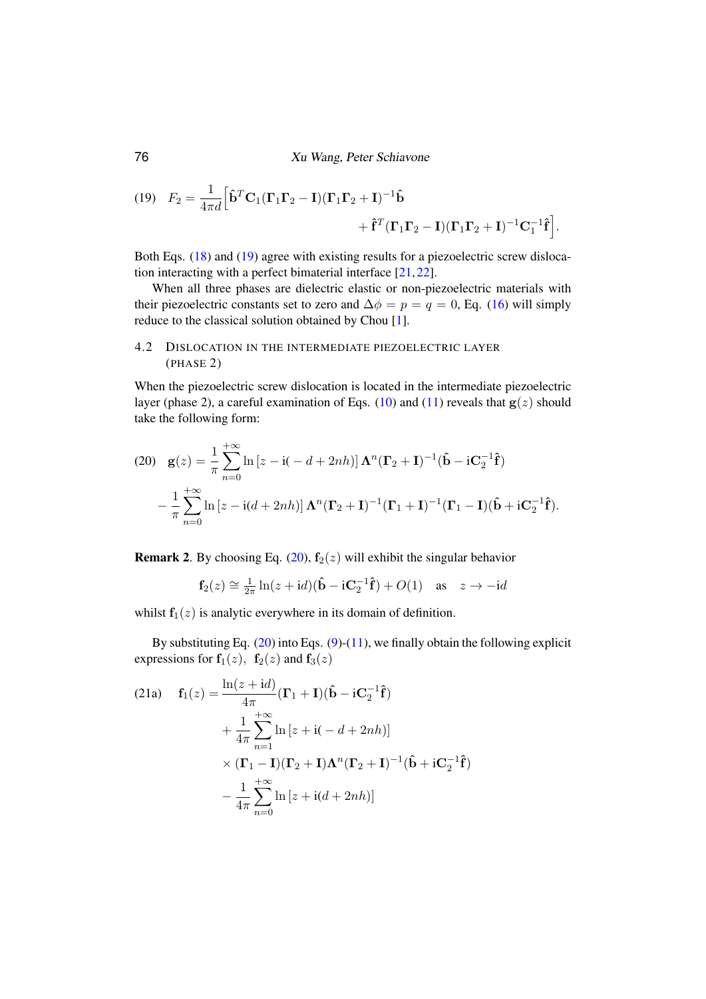<span id="page-5-0"></span>(19) 
$$
F_2 = \frac{1}{4\pi d} \left[ \hat{\mathbf{b}}^T \mathbf{C}_1 (\mathbf{\Gamma}_1 \mathbf{\Gamma}_2 - \mathbf{I}) (\mathbf{\Gamma}_1 \mathbf{\Gamma}_2 + \mathbf{I})^{-1} \hat{\mathbf{b}} + \hat{\mathbf{f}}^T (\mathbf{\Gamma}_1 \mathbf{\Gamma}_2 - \mathbf{I}) (\mathbf{\Gamma}_1 \mathbf{\Gamma}_2 + \mathbf{I})^{-1} \mathbf{C}_1^{-1} \hat{\mathbf{f}} \right].
$$

Both Eqs. [\(18\)](#page-4-1) and [\(19\)](#page-5-0) agree with existing results for a piezoelectric screw dislocation interacting with a perfect bimaterial interface [\[21,](#page-11-6) [22\]](#page-11-7).

When all three phases are dielectric elastic or non-piezoelectric materials with their piezoelectric constants set to zero and  $\Delta \phi = p = q = 0$ , Eq. [\(16\)](#page-4-0) will simply reduce to the classical solution obtained by Chou [\[1\]](#page-10-0).

# 4.2 DISLOCATION IN THE INTERMEDIATE PIEZOELECTRIC LAYER (PHASE 2)

When the piezoelectric screw dislocation is located in the intermediate piezoelectric layer (phase 2), a careful examination of Eqs. [\(10\)](#page-2-3) and [\(11\)](#page-3-0) reveals that  $g(z)$  should take the following form:

<span id="page-5-1"></span>(20) 
$$
\mathbf{g}(z) = \frac{1}{\pi} \sum_{n=0}^{+\infty} \ln \left[z - i(-d + 2nh)\right] \mathbf{\Lambda}^n (\mathbf{\Gamma}_2 + \mathbf{I})^{-1} (\hat{\mathbf{b}} - i\mathbf{C}_2^{-1} \hat{\mathbf{f}})
$$

$$
- \frac{1}{\pi} \sum_{n=0}^{+\infty} \ln \left[z - i(d + 2nh)\right] \mathbf{\Lambda}^n (\mathbf{\Gamma}_2 + \mathbf{I})^{-1} (\mathbf{\Gamma}_1 + \mathbf{I})^{-1} (\mathbf{\Gamma}_1 - \mathbf{I}) (\hat{\mathbf{b}} + i\mathbf{C}_2^{-1} \hat{\mathbf{f}}).
$$

**Remark 2.** By choosing Eq. [\(20\)](#page-5-1),  $f_2(z)$  will exhibit the singular behavior

$$
\mathbf{f}_2(z) \cong \frac{1}{2\pi} \ln(z + \mathrm{i}d)(\hat{\mathbf{b}} - \mathrm{i}\mathbf{C}_2^{-1}\hat{\mathbf{f}}) + O(1) \quad \text{as} \quad z \to -\mathrm{i}d
$$

whilst  $f_1(z)$  is analytic everywhere in its domain of definition.

By substituting Eq.  $(20)$  into Eqs.  $(9)-(11)$  $(9)-(11)$  $(9)-(11)$ , we finally obtain the following explicit expressions for  $f_1(z)$ ,  $f_2(z)$  and  $f_3(z)$ 

(21a) 
$$
\mathbf{f}_1(z) = \frac{\ln(z + \mathrm{i}d)}{4\pi} (\mathbf{\Gamma}_1 + \mathbf{I})(\hat{\mathbf{b}} - \mathrm{i}\mathbf{C}_2^{-1}\hat{\mathbf{f}})
$$

$$
+ \frac{1}{4\pi} \sum_{n=1}^{+\infty} \ln[z + \mathrm{i}(-d + 2nh)]
$$

$$
\times (\mathbf{\Gamma}_1 - \mathbf{I})(\mathbf{\Gamma}_2 + \mathbf{I})\mathbf{\Lambda}^n(\mathbf{\Gamma}_2 + \mathbf{I})^{-1}(\hat{\mathbf{b}} + \mathrm{i}\mathbf{C}_2^{-1}\hat{\mathbf{f}})
$$

$$
- \frac{1}{4\pi} \sum_{n=0}^{+\infty} \ln[z + \mathrm{i}(d + 2nh)]
$$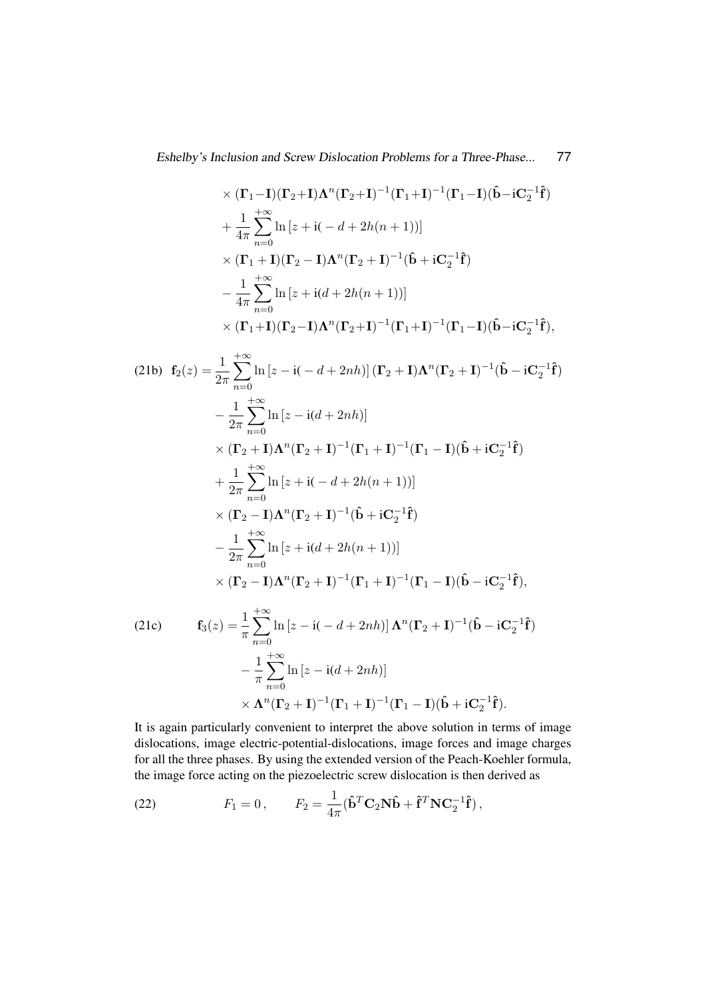$$
\times (\Gamma_1 - \mathbf{I})(\Gamma_2 + \mathbf{I})\Lambda^n(\Gamma_2 + \mathbf{I})^{-1}(\Gamma_1 + \mathbf{I})^{-1}(\Gamma_1 - \mathbf{I})(\hat{\mathbf{b}} - i\mathbf{C}_2^{-1}\hat{\mathbf{f}})
$$
  
+  $\frac{1}{4\pi} \sum_{n=0}^{+\infty} \ln [z + i(-d + 2h(n + 1))]$   
 $\times (\Gamma_1 + \mathbf{I})(\Gamma_2 - \mathbf{I})\Lambda^n(\Gamma_2 + \mathbf{I})^{-1}(\hat{\mathbf{b}} + i\mathbf{C}_2^{-1}\hat{\mathbf{f}})$   
-  $\frac{1}{4\pi} \sum_{n=0}^{+\infty} \ln [z + i(d + 2h(n + 1))]$   
 $\times (\Gamma_1 + \mathbf{I})(\Gamma_2 - \mathbf{I})\Lambda^n(\Gamma_2 + \mathbf{I})^{-1}(\Gamma_1 + \mathbf{I})^{-1}(\Gamma_1 - \mathbf{I})(\hat{\mathbf{b}} - i\mathbf{C}_2^{-1}\hat{\mathbf{f}}),$   
(21b)  $\mathbf{f}_2(z) = \frac{1}{2\pi} \sum_{n=0}^{+\infty} \ln [z - i(-d + 2nh)] (\Gamma_2 + \mathbf{I})\Lambda^n(\Gamma_2 + \mathbf{I})^{-1}(\hat{\mathbf{b}} - i\mathbf{C}_2^{-1}\hat{\mathbf{f}})$   
-  $\frac{1}{2\pi} \sum_{n=0}^{+\infty} \ln [z - i(d + 2nh)]$   
 $\times (\Gamma_2 + \mathbf{I})\Lambda^n(\Gamma_2 + \mathbf{I})^{-1}(\Gamma_1 + \mathbf{I})^{-1}(\Gamma_1 - \mathbf{I})(\hat{\mathbf{b}} + i\mathbf{C}_2^{-1}\hat{\mathbf{f}})$   
+  $\frac{1}{2\pi} \sum_{n=0}^{+\infty} \ln [z + i(-d + 2h(n + 1))]$   
 $\times (\Gamma_2 - \mathbf{I})\Lambda^n(\Gamma_2 + \mathbf{I})^{-1}(\hat{\mathbf{b}} + i\mathbf{C}_2^{-1}\hat{\mathbf{f}})$   
-  $\frac{1}{2\pi} \sum_{n=0}^{+\infty} \ln [z + i(d + 2h(n + 1))]$   
 $\times (\Gamma_2 - \$ 

$$
-\frac{1}{\pi}\sum_{n=0}^{+\infty}\ln\left[z-\mathrm{i}(d+2nh)\right]
$$
  
\$\times \Lambda^{n}(\Gamma\_2+\mathbf{I})^{-1}(\Gamma\_1+\mathbf{I})^{-1}(\Gamma\_1-\mathbf{I})(\hat{\mathbf{b}}+\mathrm{i}\mathbf{C}\_2^{-1}\hat{\mathbf{f}}).

It is again particularly convenient to interpret the above solution in terms of image dislocations, image electric-potential-dislocations, image forces and image charges for all the three phases. By using the extended version of the Peach-Koehler formula, the image force acting on the piezoelectric screw dislocation is then derived as

<span id="page-6-0"></span>(22) 
$$
F_1 = 0, \qquad F_2 = \frac{1}{4\pi} (\hat{\mathbf{b}}^T \mathbf{C}_2 \mathbf{N} \hat{\mathbf{b}} + \hat{\mathbf{f}}^T \mathbf{N} \mathbf{C}_2^{-1} \hat{\mathbf{f}}),
$$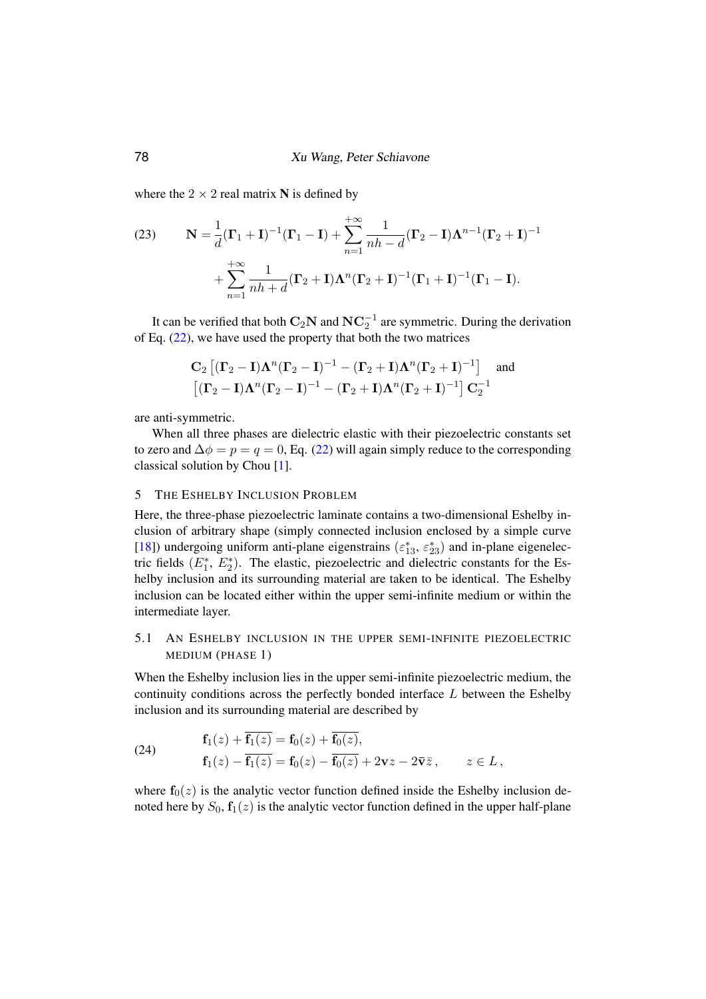where the  $2 \times 2$  real matrix N is defined by

(23) 
$$
\mathbf{N} = \frac{1}{d}(\mathbf{\Gamma}_1 + \mathbf{I})^{-1}(\mathbf{\Gamma}_1 - \mathbf{I}) + \sum_{n=1}^{+\infty} \frac{1}{nh - d}(\mathbf{\Gamma}_2 - \mathbf{I})\mathbf{\Lambda}^{n-1}(\mathbf{\Gamma}_2 + \mathbf{I})^{-1} + \sum_{n=1}^{+\infty} \frac{1}{nh + d}(\mathbf{\Gamma}_2 + \mathbf{I})\mathbf{\Lambda}^n(\mathbf{\Gamma}_2 + \mathbf{I})^{-1}(\mathbf{\Gamma}_1 + \mathbf{I})^{-1}(\mathbf{\Gamma}_1 - \mathbf{I}).
$$

It can be verified that both  $\mathbf{C}_2 \mathbf{N}$  and  $\mathbf{N} \mathbf{C}_2^{-1}$  are symmetric. During the derivation of Eq. [\(22\)](#page-6-0), we have used the property that both the two matrices

$$
\mathbf{C}_2\left[ (\mathbf{\Gamma}_2 - \mathbf{I})\boldsymbol{\Lambda}^n (\mathbf{\Gamma}_2 - \mathbf{I})^{-1} - (\mathbf{\Gamma}_2 + \mathbf{I})\boldsymbol{\Lambda}^n (\mathbf{\Gamma}_2 + \mathbf{I})^{-1} \right] \text{ and }
$$
  

$$
\left[ (\mathbf{\Gamma}_2 - \mathbf{I})\boldsymbol{\Lambda}^n (\mathbf{\Gamma}_2 - \mathbf{I})^{-1} - (\mathbf{\Gamma}_2 + \mathbf{I})\boldsymbol{\Lambda}^n (\mathbf{\Gamma}_2 + \mathbf{I})^{-1} \right] \mathbf{C}_2^{-1}
$$

are anti-symmetric.

When all three phases are dielectric elastic with their piezoelectric constants set to zero and  $\Delta \phi = p = q = 0$ , Eq. [\(22\)](#page-6-0) will again simply reduce to the corresponding classical solution by Chou [\[1\]](#page-10-0).

### 5 THE ESHELBY INCLUSION PROBLEM

Here, the three-phase piezoelectric laminate contains a two-dimensional Eshelby inclusion of arbitrary shape (simply connected inclusion enclosed by a simple curve [\[18\]](#page-11-3)) undergoing uniform anti-plane eigenstrains  $(\varepsilon_{13}^*, \varepsilon_{23}^*)$  and in-plane eigenelectric fields  $(E_1^*, E_2^*)$ . The elastic, piezoelectric and dielectric constants for the Eshelby inclusion and its surrounding material are taken to be identical. The Eshelby inclusion can be located either within the upper semi-infinite medium or within the intermediate layer.

## 5.1 AN ESHELBY INCLUSION IN THE UPPER SEMI-INFINITE PIEZOELECTRIC MEDIUM (PHASE 1)

When the Eshelby inclusion lies in the upper semi-infinite piezoelectric medium, the continuity conditions across the perfectly bonded interface  $L$  between the Eshelby inclusion and its surrounding material are described by

<span id="page-7-0"></span>(24) 
$$
\mathbf{f}_1(z) + \overline{\mathbf{f}_1(z)} = \mathbf{f}_0(z) + \overline{\mathbf{f}_0(z)},
$$

$$
\mathbf{f}_1(z) - \overline{\mathbf{f}_1(z)} = \mathbf{f}_0(z) - \overline{\mathbf{f}_0(z)} + 2\mathbf{v}z - 2\overline{\mathbf{v}}\overline{z}, \qquad z \in L,
$$

where  $f_0(z)$  is the analytic vector function defined inside the Eshelby inclusion denoted here by  $S_0$ ,  $f_1(z)$  is the analytic vector function defined in the upper half-plane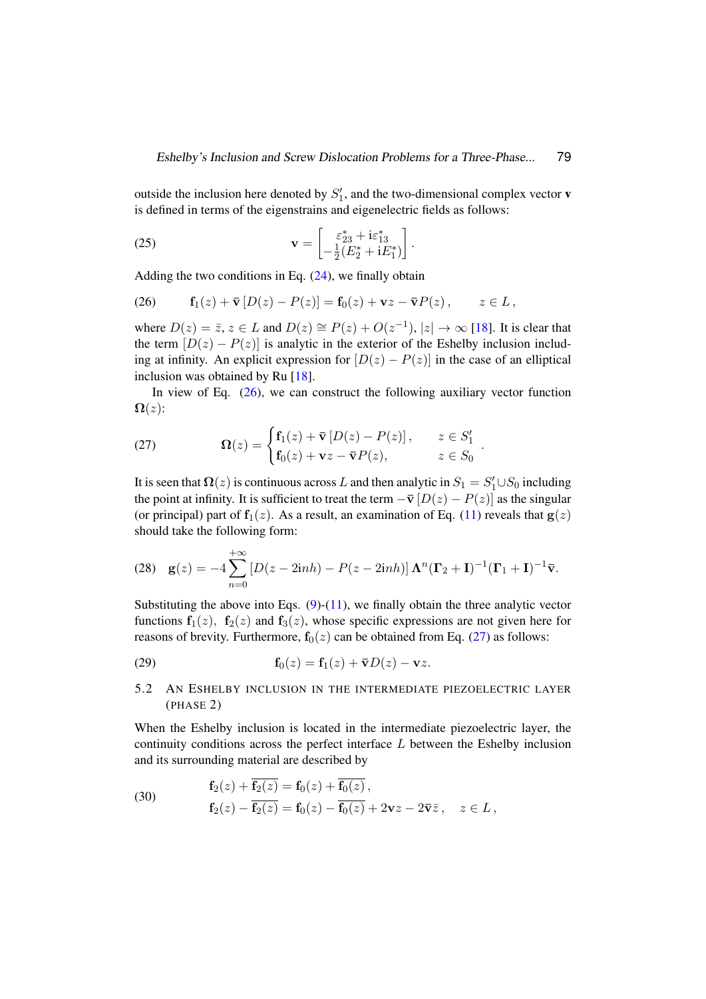outside the inclusion here denoted by  $S'_1$ , and the two-dimensional complex vector **v** is defined in terms of the eigenstrains and eigenelectric fields as follows:

<span id="page-8-2"></span>(25) 
$$
\mathbf{v} = \begin{bmatrix} \varepsilon_{23}^* + i\varepsilon_{13}^* \\ -\frac{1}{2}(E_2^* + iE_1^*) \end{bmatrix}.
$$

Adding the two conditions in Eq.  $(24)$ , we finally obtain

<span id="page-8-0"></span>(26) 
$$
\mathbf{f}_1(z) + \overline{\mathbf{v}} \left[ D(z) - P(z) \right] = \mathbf{f}_0(z) + \mathbf{v} z - \overline{\mathbf{v}} P(z), \qquad z \in L,
$$

where  $D(z) = \overline{z}$ ,  $z \in L$  and  $D(z) \cong P(z) + O(z^{-1})$ ,  $|z| \to \infty$  [\[18\]](#page-11-3). It is clear that the term  $[D(z) - P(z)]$  is analytic in the exterior of the Eshelby inclusion including at infinity. An explicit expression for  $[D(z) - P(z)]$  in the case of an elliptical inclusion was obtained by Ru [\[18\]](#page-11-3).

In view of Eq.  $(26)$ , we can construct the following auxiliary vector function  $\Omega(z)$ :

<span id="page-8-1"></span>(27) 
$$
\mathbf{\Omega}(z) = \begin{cases} \mathbf{f}_1(z) + \overline{\mathbf{v}} \left[ D(z) - P(z) \right], & z \in S_1' \\ \mathbf{f}_0(z) + \mathbf{v}z - \overline{\mathbf{v}}P(z), & z \in S_0 \end{cases}.
$$

It is seen that  $\Omega(z)$  is continuous across L and then analytic in  $S_1 = S_1' \cup S_0$  including the point at infinity. It is sufficient to treat the term  $-\bar{v} [D(z) - P(z)]$  as the singular (or principal) part of  $f_1(z)$ . As a result, an examination of Eq. [\(11\)](#page-3-0) reveals that  $g(z)$ should take the following form:

(28) 
$$
\mathbf{g}(z) = -4 \sum_{n=0}^{+\infty} \left[ D(z - 2inh) - P(z - 2inh) \right] \mathbf{\Lambda}^n (\mathbf{\Gamma}_2 + \mathbf{I})^{-1} (\mathbf{\Gamma}_1 + \mathbf{I})^{-1} \mathbf{\bar{v}}.
$$

Substituting the above into Eqs.  $(9)-(11)$  $(9)-(11)$  $(9)-(11)$ , we finally obtain the three analytic vector functions  $f_1(z)$ ,  $f_2(z)$  and  $f_3(z)$ , whose specific expressions are not given here for reasons of brevity. Furthermore,  $f_0(z)$  can be obtained from Eq. [\(27\)](#page-8-1) as follows:

(29) 
$$
\mathbf{f}_0(z) = \mathbf{f}_1(z) + \overline{\mathbf{v}} D(z) - \mathbf{v} z.
$$

5.2 AN ESHELBY INCLUSION IN THE INTERMEDIATE PIEZOELECTRIC LAYER (PHASE 2)

When the Eshelby inclusion is located in the intermediate piezoelectric layer, the continuity conditions across the perfect interface  $L$  between the Eshelby inclusion and its surrounding material are described by

<span id="page-8-3"></span>(30) 
$$
\mathbf{f}_2(z) + \overline{\mathbf{f}_2(z)} = \mathbf{f}_0(z) + \overline{\mathbf{f}_0(z)},
$$

$$
\mathbf{f}_2(z) - \overline{\mathbf{f}_2(z)} = \mathbf{f}_0(z) - \overline{\mathbf{f}_0(z)} + 2\mathbf{v}z - 2\overline{\mathbf{v}}\overline{z}, \quad z \in L,
$$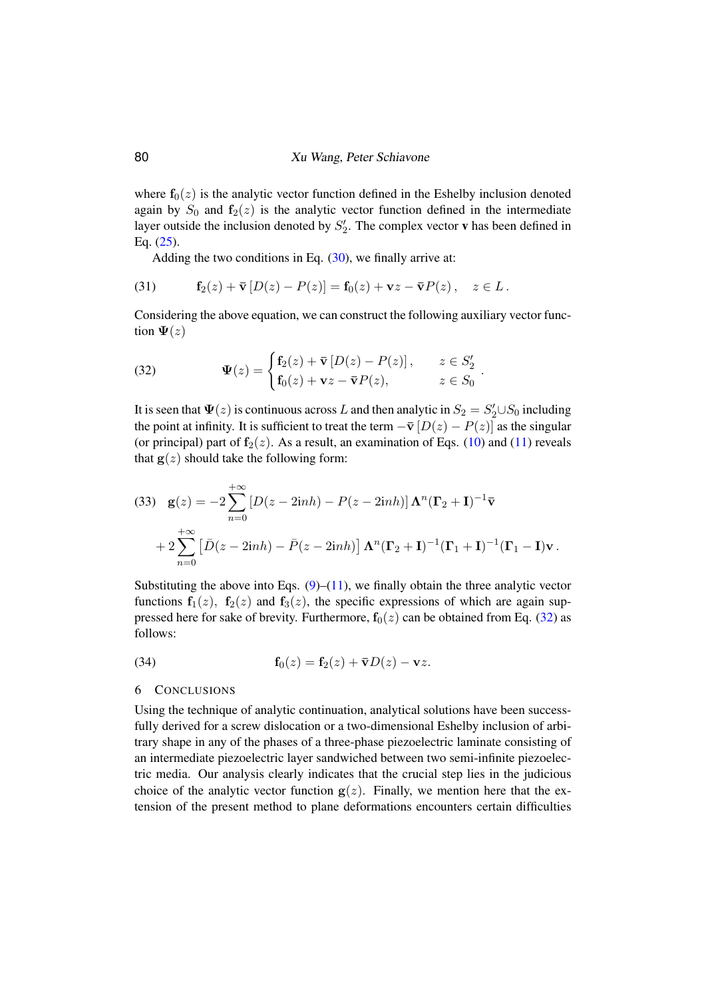where  $f_0(z)$  is the analytic vector function defined in the Eshelby inclusion denoted again by  $S_0$  and  $f_2(z)$  is the analytic vector function defined in the intermediate layer outside the inclusion denoted by  $S_2'$ . The complex vector **v** has been defined in Eq. [\(25\)](#page-8-2).

Adding the two conditions in Eq.  $(30)$ , we finally arrive at:

(31) 
$$
\mathbf{f}_2(z) + \overline{\mathbf{v}} \left[ D(z) - P(z) \right] = \mathbf{f}_0(z) + \mathbf{v}z - \overline{\mathbf{v}} P(z), \quad z \in L.
$$

Considering the above equation, we can construct the following auxiliary vector function  $\Psi(z)$ 

.

<span id="page-9-0"></span>(32) 
$$
\Psi(z) = \begin{cases} \mathbf{f}_2(z) + \bar{\mathbf{v}} [D(z) - P(z)], & z \in S'_2 \\ \mathbf{f}_0(z) + \mathbf{v}z - \bar{\mathbf{v}}P(z), & z \in S_0 \end{cases}
$$

It is seen that  $\Psi(z)$  is continuous across L and then analytic in  $S_2 = S_2' \cup S_0$  including the point at infinity. It is sufficient to treat the term  $-\bar{\mathbf{v}} [D(z) - P(z)]$  as the singular (or principal) part of  $f_2(z)$ . As a result, an examination of Eqs. [\(10\)](#page-2-3) and [\(11\)](#page-3-0) reveals that  $g(z)$  should take the following form:

(33) 
$$
\mathbf{g}(z) = -2 \sum_{n=0}^{+\infty} \left[ D(z - 2inh) - P(z - 2inh) \right] \mathbf{\Lambda}^n (\mathbf{\Gamma}_2 + \mathbf{I})^{-1} \mathbf{\bar{v}} + 2 \sum_{n=0}^{+\infty} \left[ \bar{D}(z - 2inh) - \bar{P}(z - 2inh) \right] \mathbf{\Lambda}^n (\mathbf{\Gamma}_2 + \mathbf{I})^{-1} (\mathbf{\Gamma}_1 + \mathbf{I})^{-1} (\mathbf{\Gamma}_1 - \mathbf{I}) \mathbf{v}.
$$

Substituting the above into Eqs.  $(9)$ – $(11)$ , we finally obtain the three analytic vector functions  $f_1(z)$ ,  $f_2(z)$  and  $f_3(z)$ , the specific expressions of which are again suppressed here for sake of brevity. Furthermore,  $f_0(z)$  can be obtained from Eq. [\(32\)](#page-9-0) as follows:

(34) 
$$
\mathbf{f}_0(z) = \mathbf{f}_2(z) + \overline{\mathbf{v}} D(z) - \mathbf{v} z.
$$

#### 6 CONCLUSIONS

Using the technique of analytic continuation, analytical solutions have been successfully derived for a screw dislocation or a two-dimensional Eshelby inclusion of arbitrary shape in any of the phases of a three-phase piezoelectric laminate consisting of an intermediate piezoelectric layer sandwiched between two semi-infinite piezoelectric media. Our analysis clearly indicates that the crucial step lies in the judicious choice of the analytic vector function  $g(z)$ . Finally, we mention here that the extension of the present method to plane deformations encounters certain difficulties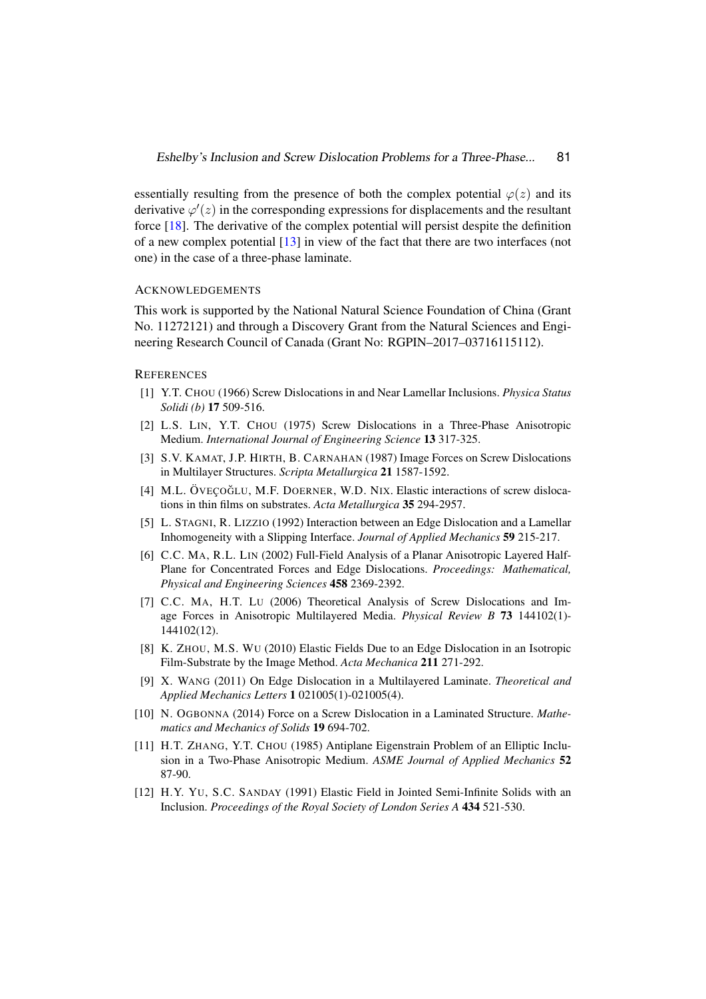essentially resulting from the presence of both the complex potential  $\varphi(z)$  and its derivative  $\varphi'(z)$  in the corresponding expressions for displacements and the resultant force [\[18\]](#page-11-3). The derivative of the complex potential will persist despite the definition of a new complex potential [\[13\]](#page-11-1) in view of the fact that there are two interfaces (not one) in the case of a three-phase laminate.

### ACKNOWLEDGEMENTS

This work is supported by the National Natural Science Foundation of China (Grant No. 11272121) and through a Discovery Grant from the Natural Sciences and Engineering Research Council of Canada (Grant No: RGPIN–2017–03716115112).

#### <span id="page-10-0"></span>**REFERENCES**

- [1] Y.T. CHOU (1966) Screw Dislocations in and Near Lamellar Inclusions. *Physica Status Solidi (b)* 17 509-516.
- [2] L.S. LIN, Y.T. CHOU (1975) Screw Dislocations in a Three-Phase Anisotropic Medium. *International Journal of Engineering Science* 13 317-325.
- [3] S.V. KAMAT, J.P. HIRTH, B. CARNAHAN (1987) Image Forces on Screw Dislocations in Multilayer Structures. *Scripta Metallurgica* 21 1587-1592.
- [4] M.L. ÖVEÇOĞLU, M.F. DOERNER, W.D. NIX. Elastic interactions of screw dislocations in thin films on substrates. *Acta Metallurgica* 35 294-2957.
- [5] L. STAGNI, R. LIZZIO (1992) Interaction between an Edge Dislocation and a Lamellar Inhomogeneity with a Slipping Interface. *Journal of Applied Mechanics* 59 215-217.
- [6] C.C. MA, R.L. LIN (2002) Full-Field Analysis of a Planar Anisotropic Layered Half-Plane for Concentrated Forces and Edge Dislocations. *Proceedings: Mathematical, Physical and Engineering Sciences* 458 2369-2392.
- [7] C.C. MA, H.T. LU (2006) Theoretical Analysis of Screw Dislocations and Image Forces in Anisotropic Multilayered Media. *Physical Review B* 73 144102(1)- 144102(12).
- [8] K. ZHOU, M.S. WU (2010) Elastic Fields Due to an Edge Dislocation in an Isotropic Film-Substrate by the Image Method. *Acta Mechanica* 211 271-292.
- [9] X. WANG (2011) On Edge Dislocation in a Multilayered Laminate. *Theoretical and Applied Mechanics Letters* 1 021005(1)-021005(4).
- <span id="page-10-1"></span>[10] N. OGBONNA (2014) Force on a Screw Dislocation in a Laminated Structure. *Mathematics and Mechanics of Solids* 19 694-702.
- <span id="page-10-2"></span>[11] H.T. ZHANG, Y.T. CHOU (1985) Antiplane Eigenstrain Problem of an Elliptic Inclusion in a Two-Phase Anisotropic Medium. *ASME Journal of Applied Mechanics* 52 87-90.
- <span id="page-10-3"></span>[12] H.Y. YU, S.C. SANDAY (1991) Elastic Field in Jointed Semi-Infinite Solids with an Inclusion. *Proceedings of the Royal Society of London Series A* 434 521-530.